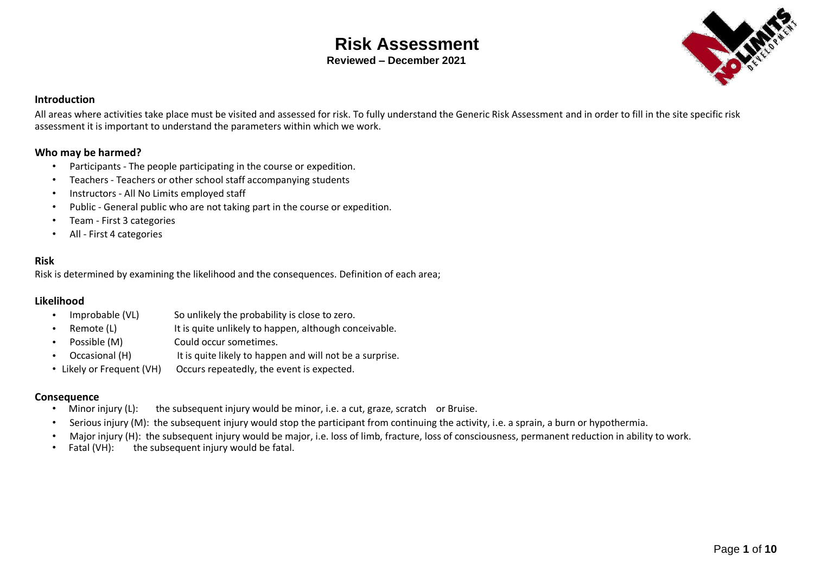### **Risk Assessment Reviewed – December 2021**



#### **Introduction**

All areas where activities take place must be visited and assessed for risk. To fully understand the Generic Risk Assessment and in order to fill in the site specific risk assessment it is important to understand the parameters within which we work.

#### **Who may be harmed?**

- Participants The people participating in the course or expedition.
- Teachers Teachers or other school staff accompanying students
- Instructors All No Limits employed staff
- Public General public who are not taking part in the course or expedition.
- Team First 3 categories
- All First 4 categories

#### **Risk**

Risk is determined by examining the likelihood and the consequences. Definition of each area;

#### **Likelihood**

- Improbable (VL) So unlikely the probability is close to zero.
- Remote (L) It is quite unlikely to happen, although conceivable.
- Possible (M) Could occur sometimes.
- Occasional (H) It is quite likely to happen and will not be a surprise.
- Likely or Frequent (VH) Occurs repeatedly, the event is expected.

#### **Consequence**

- Minor injury (L): the subsequent injury would be minor, i.e. a cut, graze, scratch or Bruise.
- Serious injury (M): the subsequent injury would stop the participant from continuing the activity, i.e. a sprain, a burn or hypothermia.
- Major injury (H): the subsequent injury would be major, i.e. loss of limb, fracture, loss of consciousness, permanent reduction in ability to work.<br>Fatal (VH): the subsequent injury would be fatal.
- the subsequent injury would be fatal.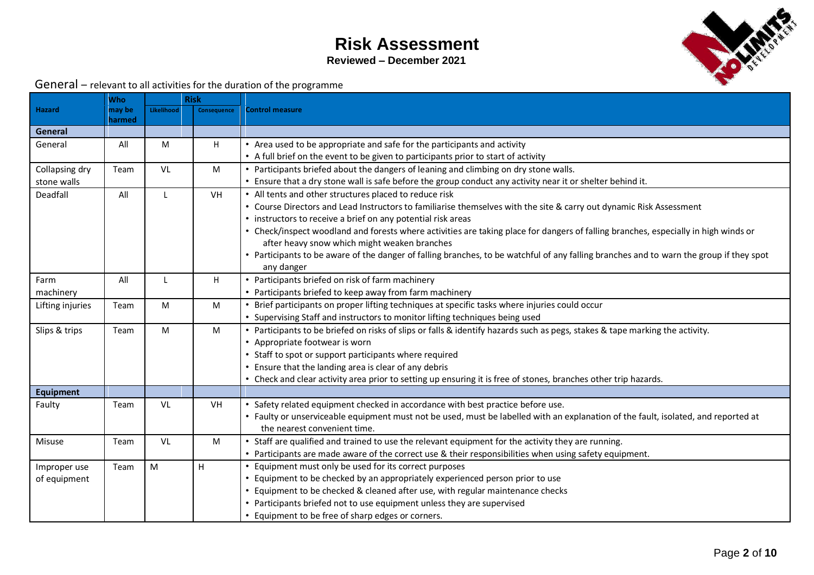**Reviewed – December 2021**



General – relevant to all activities for the duration of the programme

|                  | <b>Who</b> |            | <b>Risk</b>        |                                                                                                                                         |
|------------------|------------|------------|--------------------|-----------------------------------------------------------------------------------------------------------------------------------------|
| <b>Hazard</b>    | may be     | Likelihood | <b>Consequence</b> | <b>Control measure</b>                                                                                                                  |
|                  | harmed     |            |                    |                                                                                                                                         |
| General          |            |            |                    |                                                                                                                                         |
| General          | All        | M          | H                  | • Area used to be appropriate and safe for the participants and activity                                                                |
|                  |            |            |                    | • A full brief on the event to be given to participants prior to start of activity                                                      |
| Collapsing dry   | Team       | VL         | M                  | • Participants briefed about the dangers of leaning and climbing on dry stone walls.                                                    |
| stone walls      |            |            |                    | • Ensure that a dry stone wall is safe before the group conduct any activity near it or shelter behind it.                              |
| Deadfall         | All        | L          | VH                 | • All tents and other structures placed to reduce risk                                                                                  |
|                  |            |            |                    | • Course Directors and Lead Instructors to familiarise themselves with the site & carry out dynamic Risk Assessment                     |
|                  |            |            |                    | • instructors to receive a brief on any potential risk areas                                                                            |
|                  |            |            |                    | • Check/inspect woodland and forests where activities are taking place for dangers of falling branches, especially in high winds or     |
|                  |            |            |                    | after heavy snow which might weaken branches                                                                                            |
|                  |            |            |                    | • Participants to be aware of the danger of falling branches, to be watchful of any falling branches and to warn the group if they spot |
|                  |            |            |                    | any danger                                                                                                                              |
| Farm             | All        | L          | H                  | • Participants briefed on risk of farm machinery                                                                                        |
| machinery        |            |            |                    | • Participants briefed to keep away from farm machinery                                                                                 |
| Lifting injuries | Team       | M          | M                  | • Brief participants on proper lifting techniques at specific tasks where injuries could occur                                          |
|                  |            |            |                    | • Supervising Staff and instructors to monitor lifting techniques being used                                                            |
| Slips & trips    | Team       | M          | M                  | • Participants to be briefed on risks of slips or falls & identify hazards such as pegs, stakes & tape marking the activity.            |
|                  |            |            |                    | • Appropriate footwear is worn                                                                                                          |
|                  |            |            |                    | • Staff to spot or support participants where required                                                                                  |
|                  |            |            |                    | • Ensure that the landing area is clear of any debris                                                                                   |
|                  |            |            |                    | • Check and clear activity area prior to setting up ensuring it is free of stones, branches other trip hazards.                         |
| <b>Equipment</b> |            |            |                    |                                                                                                                                         |
| Faulty           | Team       | VL         | VH                 | • Safety related equipment checked in accordance with best practice before use.                                                         |
|                  |            |            |                    | • Faulty or unserviceable equipment must not be used, must be labelled with an explanation of the fault, isolated, and reported at      |
|                  |            |            |                    | the nearest convenient time.                                                                                                            |
| <b>Misuse</b>    | Team       | VL         | M                  | • Staff are qualified and trained to use the relevant equipment for the activity they are running.                                      |
|                  |            |            |                    | • Participants are made aware of the correct use & their responsibilities when using safety equipment.                                  |
| Improper use     | Team       | M          | H                  | Equipment must only be used for its correct purposes                                                                                    |
| of equipment     |            |            |                    | Equipment to be checked by an appropriately experienced person prior to use                                                             |
|                  |            |            |                    | Equipment to be checked & cleaned after use, with regular maintenance checks                                                            |
|                  |            |            |                    | • Participants briefed not to use equipment unless they are supervised                                                                  |
|                  |            |            |                    | • Equipment to be free of sharp edges or corners.                                                                                       |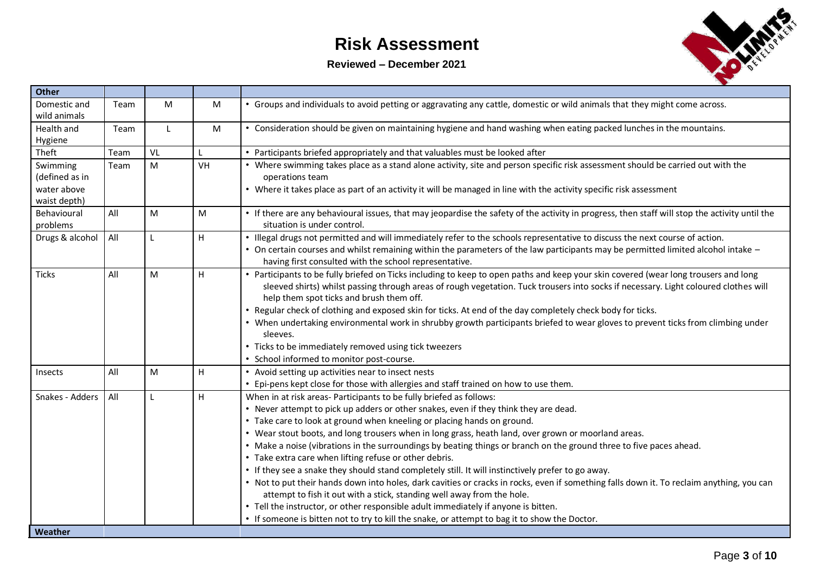**Reviewed – December 2021**



| <b>Other</b>                                              |      |              |              |                                                                                                                                                                                                                                                                                                                                                                                                                                                                                                                                                                                                                                                                                                                                                                                                                                                                                                                                                                                                                                                    |
|-----------------------------------------------------------|------|--------------|--------------|----------------------------------------------------------------------------------------------------------------------------------------------------------------------------------------------------------------------------------------------------------------------------------------------------------------------------------------------------------------------------------------------------------------------------------------------------------------------------------------------------------------------------------------------------------------------------------------------------------------------------------------------------------------------------------------------------------------------------------------------------------------------------------------------------------------------------------------------------------------------------------------------------------------------------------------------------------------------------------------------------------------------------------------------------|
| Domestic and<br>wild animals                              | Team | M            | M            | • Groups and individuals to avoid petting or aggravating any cattle, domestic or wild animals that they might come across.                                                                                                                                                                                                                                                                                                                                                                                                                                                                                                                                                                                                                                                                                                                                                                                                                                                                                                                         |
| Health and<br>Hygiene                                     | Team | $\mathsf{L}$ | M            | • Consideration should be given on maintaining hygiene and hand washing when eating packed lunches in the mountains.                                                                                                                                                                                                                                                                                                                                                                                                                                                                                                                                                                                                                                                                                                                                                                                                                                                                                                                               |
| Theft                                                     | Team | VL           | $\mathbf{I}$ | • Participants briefed appropriately and that valuables must be looked after                                                                                                                                                                                                                                                                                                                                                                                                                                                                                                                                                                                                                                                                                                                                                                                                                                                                                                                                                                       |
| Swimming<br>(defined as in<br>water above<br>waist depth) | Team | M            | VH           | • Where swimming takes place as a stand alone activity, site and person specific risk assessment should be carried out with the<br>operations team<br>• Where it takes place as part of an activity it will be managed in line with the activity specific risk assessment                                                                                                                                                                                                                                                                                                                                                                                                                                                                                                                                                                                                                                                                                                                                                                          |
| Behavioural<br>problems                                   | All  | M            | M            | • If there are any behavioural issues, that may jeopardise the safety of the activity in progress, then staff will stop the activity until the<br>situation is under control.                                                                                                                                                                                                                                                                                                                                                                                                                                                                                                                                                                                                                                                                                                                                                                                                                                                                      |
| Drugs & alcohol                                           | All  |              | H            | . Illegal drugs not permitted and will immediately refer to the schools representative to discuss the next course of action.<br>• On certain courses and whilst remaining within the parameters of the law participants may be permitted limited alcohol intake -<br>having first consulted with the school representative.                                                                                                                                                                                                                                                                                                                                                                                                                                                                                                                                                                                                                                                                                                                        |
| <b>Ticks</b>                                              | All  | M            | H            | • Participants to be fully briefed on Ticks including to keep to open paths and keep your skin covered (wear long trousers and long<br>sleeved shirts) whilst passing through areas of rough vegetation. Tuck trousers into socks if necessary. Light coloured clothes will<br>help them spot ticks and brush them off.<br>• Regular check of clothing and exposed skin for ticks. At end of the day completely check body for ticks.<br>• When undertaking environmental work in shrubby growth participants briefed to wear gloves to prevent ticks from climbing under<br>sleeves.<br>• Ticks to be immediately removed using tick tweezers<br>• School informed to monitor post-course.                                                                                                                                                                                                                                                                                                                                                        |
| Insects                                                   | All  | M            | H            | • Avoid setting up activities near to insect nests<br>• Epi-pens kept close for those with allergies and staff trained on how to use them.                                                                                                                                                                                                                                                                                                                                                                                                                                                                                                                                                                                                                                                                                                                                                                                                                                                                                                         |
| Snakes - Adders                                           | All  |              | H            | When in at risk areas- Participants to be fully briefed as follows:<br>• Never attempt to pick up adders or other snakes, even if they think they are dead.<br>• Take care to look at ground when kneeling or placing hands on ground.<br>. Wear stout boots, and long trousers when in long grass, heath land, over grown or moorland areas.<br>• Make a noise (vibrations in the surroundings by beating things or branch on the ground three to five paces ahead.<br>• Take extra care when lifting refuse or other debris.<br>• If they see a snake they should stand completely still. It will instinctively prefer to go away.<br>. Not to put their hands down into holes, dark cavities or cracks in rocks, even if something falls down it. To reclaim anything, you can<br>attempt to fish it out with a stick, standing well away from the hole.<br>• Tell the instructor, or other responsible adult immediately if anyone is bitten.<br>• If someone is bitten not to try to kill the snake, or attempt to bag it to show the Doctor. |
| Weather                                                   |      |              |              |                                                                                                                                                                                                                                                                                                                                                                                                                                                                                                                                                                                                                                                                                                                                                                                                                                                                                                                                                                                                                                                    |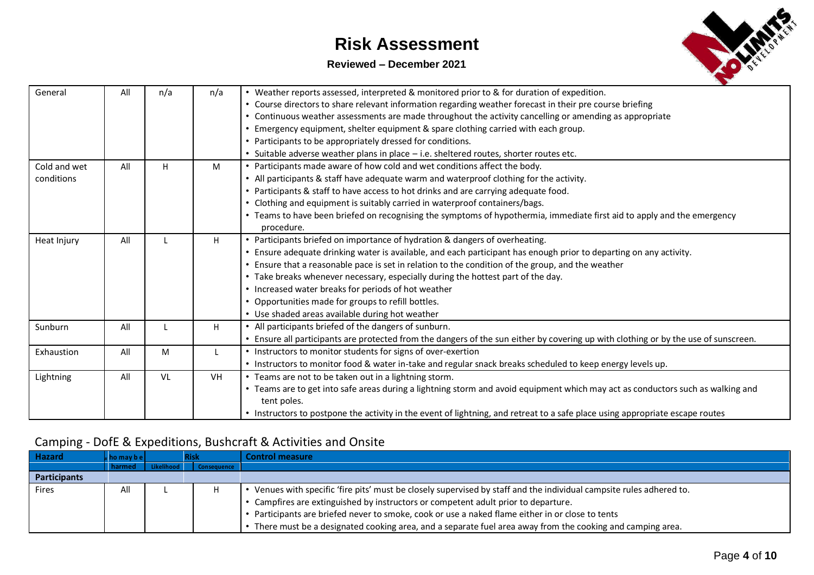### **Reviewed – December 2021**



| General      | All | n/a | n/a | • Weather reports assessed, interpreted & monitored prior to & for duration of expedition.                                          |
|--------------|-----|-----|-----|-------------------------------------------------------------------------------------------------------------------------------------|
|              |     |     |     | • Course directors to share relevant information regarding weather forecast in their pre course briefing                            |
|              |     |     |     | Continuous weather assessments are made throughout the activity cancelling or amending as appropriate                               |
|              |     |     |     | • Emergency equipment, shelter equipment & spare clothing carried with each group.                                                  |
|              |     |     |     | • Participants to be appropriately dressed for conditions.                                                                          |
|              |     |     |     | • Suitable adverse weather plans in place - i.e. sheltered routes, shorter routes etc.                                              |
| Cold and wet | All | H   | M   | • Participants made aware of how cold and wet conditions affect the body.                                                           |
| conditions   |     |     |     | • All participants & staff have adequate warm and waterproof clothing for the activity.                                             |
|              |     |     |     | • Participants & staff to have access to hot drinks and are carrying adequate food.                                                 |
|              |     |     |     | Clothing and equipment is suitably carried in waterproof containers/bags.                                                           |
|              |     |     |     | • Teams to have been briefed on recognising the symptoms of hypothermia, immediate first aid to apply and the emergency             |
|              |     |     |     | procedure.                                                                                                                          |
| Heat Injury  | All |     | H   | • Participants briefed on importance of hydration & dangers of overheating.                                                         |
|              |     |     |     | • Ensure adequate drinking water is available, and each participant has enough prior to departing on any activity.                  |
|              |     |     |     | • Ensure that a reasonable pace is set in relation to the condition of the group, and the weather                                   |
|              |     |     |     | • Take breaks whenever necessary, especially during the hottest part of the day.                                                    |
|              |     |     |     | • Increased water breaks for periods of hot weather                                                                                 |
|              |     |     |     | • Opportunities made for groups to refill bottles.                                                                                  |
|              |     |     |     | • Use shaded areas available during hot weather                                                                                     |
| Sunburn      | All |     | H   | • All participants briefed of the dangers of sunburn.                                                                               |
|              |     |     |     | • Ensure all participants are protected from the dangers of the sun either by covering up with clothing or by the use of sunscreen. |
| Exhaustion   | All | M   | L   | • Instructors to monitor students for signs of over-exertion                                                                        |
|              |     |     |     | • Instructors to monitor food & water in-take and regular snack breaks scheduled to keep energy levels up.                          |
| Lightning    | All | VL  | VH. | • Teams are not to be taken out in a lightning storm.                                                                               |
|              |     |     |     | • Teams are to get into safe areas during a lightning storm and avoid equipment which may act as conductors such as walking and     |
|              |     |     |     | tent poles.                                                                                                                         |
|              |     |     |     | • Instructors to postpone the activity in the event of lightning, and retreat to a safe place using appropriate escape routes       |

### Camping - DofE & Expeditions, Bushcraft & Activities and Onsite

| <b>Hazard</b> | $\mathsf{w}$ homay be | lisk        | <b>Control measure</b>                                                                                               |
|---------------|-----------------------|-------------|----------------------------------------------------------------------------------------------------------------------|
|               | harmed                | Consequence |                                                                                                                      |
| Participants  |                       |             |                                                                                                                      |
| Fires         | All                   |             | . Venues with specific 'fire pits' must be closely supervised by staff and the individual campsite rules adhered to. |
|               |                       |             | • Campfires are extinguished by instructors or competent adult prior to departure.                                   |
|               |                       |             | • Participants are briefed never to smoke, cook or use a naked flame either in or close to tents                     |
|               |                       |             | • There must be a designated cooking area, and a separate fuel area away from the cooking and camping area.          |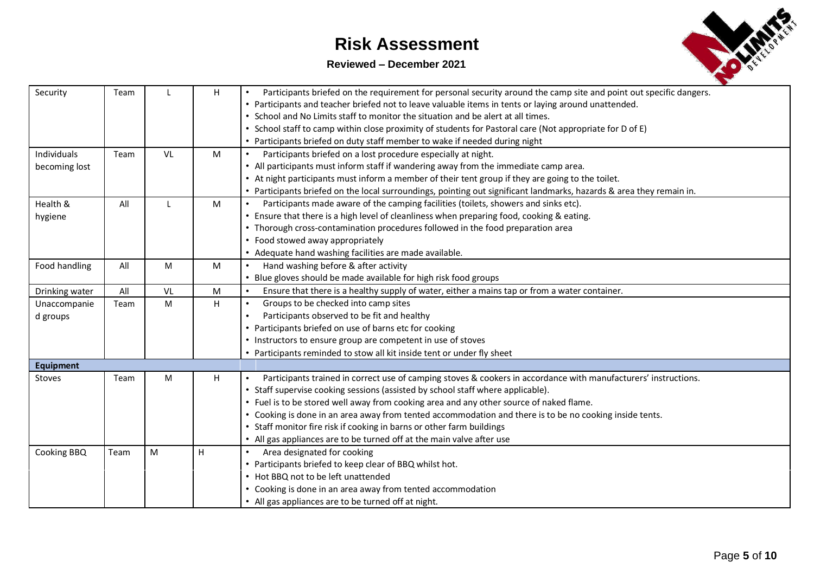#### **Reviewed – December 2021**



| Security         | Team |    | H | Participants briefed on the requirement for personal security around the camp site and point out specific dangers.   |
|------------------|------|----|---|----------------------------------------------------------------------------------------------------------------------|
|                  |      |    |   | • Participants and teacher briefed not to leave valuable items in tents or laying around unattended.                 |
|                  |      |    |   | • School and No Limits staff to monitor the situation and be alert at all times.                                     |
|                  |      |    |   | • School staff to camp within close proximity of students for Pastoral care (Not appropriate for D of E)             |
|                  |      |    |   | • Participants briefed on duty staff member to wake if needed during night                                           |
| Individuals      | Team | VL | M | Participants briefed on a lost procedure especially at night.<br>$\bullet$                                           |
| becoming lost    |      |    |   | • All participants must inform staff if wandering away from the immediate camp area.                                 |
|                  |      |    |   | • At night participants must inform a member of their tent group if they are going to the toilet.                    |
|                  |      |    |   | • Participants briefed on the local surroundings, pointing out significant landmarks, hazards & area they remain in. |
| Health &         | All  |    | M | Participants made aware of the camping facilities (toilets, showers and sinks etc).                                  |
| hygiene          |      |    |   | • Ensure that there is a high level of cleanliness when preparing food, cooking & eating.                            |
|                  |      |    |   | • Thorough cross-contamination procedures followed in the food preparation area                                      |
|                  |      |    |   | • Food stowed away appropriately                                                                                     |
|                  |      |    |   | • Adequate hand washing facilities are made available.                                                               |
| Food handling    | All  | M  | M | Hand washing before & after activity<br>$\bullet$                                                                    |
|                  |      |    |   | • Blue gloves should be made available for high risk food groups                                                     |
| Drinking water   | All  | VL | M | Ensure that there is a healthy supply of water, either a mains tap or from a water container.                        |
| Unaccompanie     | Team | M  | H | Groups to be checked into camp sites                                                                                 |
| d groups         |      |    |   | Participants observed to be fit and healthy                                                                          |
|                  |      |    |   | • Participants briefed on use of barns etc for cooking                                                               |
|                  |      |    |   | • Instructors to ensure group are competent in use of stoves                                                         |
|                  |      |    |   | • Participants reminded to stow all kit inside tent or under fly sheet                                               |
| <b>Equipment</b> |      |    |   |                                                                                                                      |
| Stoves           | Team | M  | H | Participants trained in correct use of camping stoves & cookers in accordance with manufacturers' instructions.      |
|                  |      |    |   | • Staff supervise cooking sessions (assisted by school staff where applicable).                                      |
|                  |      |    |   | • Fuel is to be stored well away from cooking area and any other source of naked flame.                              |
|                  |      |    |   | . Cooking is done in an area away from tented accommodation and there is to be no cooking inside tents.              |
|                  |      |    |   | • Staff monitor fire risk if cooking in barns or other farm buildings                                                |
|                  |      |    |   | • All gas appliances are to be turned off at the main valve after use                                                |
| Cooking BBQ      | Team | M  | H | Area designated for cooking<br>$\bullet$                                                                             |
|                  |      |    |   | • Participants briefed to keep clear of BBQ whilst hot.                                                              |
|                  |      |    |   | • Hot BBQ not to be left unattended                                                                                  |
|                  |      |    |   | • Cooking is done in an area away from tented accommodation                                                          |
|                  |      |    |   | • All gas appliances are to be turned off at night.                                                                  |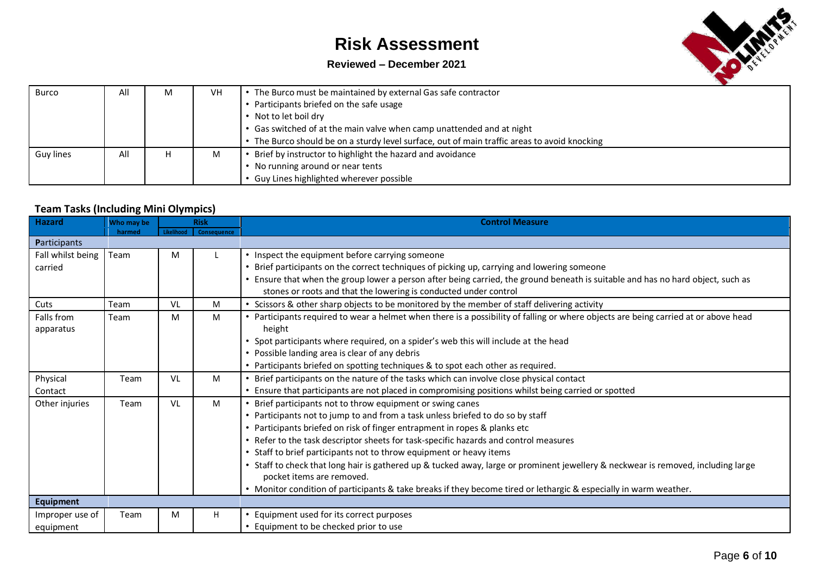### **Reviewed – December 2021**



| Burco     | All | M | <b>VH</b> | The Burco must be maintained by external Gas safe contractor                               |
|-----------|-----|---|-----------|--------------------------------------------------------------------------------------------|
|           |     |   |           | Participants briefed on the safe usage                                                     |
|           |     |   |           | Not to let boil dry                                                                        |
|           |     |   |           | • Gas switched of at the main valve when camp unattended and at night                      |
|           |     |   |           | The Burco should be on a sturdy level surface, out of main traffic areas to avoid knocking |
| Guy lines | All |   | M         | Brief by instructor to highlight the hazard and avoidance                                  |
|           |     |   |           | No running around or near tents                                                            |
|           |     |   |           | Guy Lines highlighted wherever possible                                                    |

### **Team Tasks (Including Mini Olympics)**

| <b>Hazard</b>     | Who may be |            | <b>Risk</b> | <b>Control Measure</b>                                                                                                              |
|-------------------|------------|------------|-------------|-------------------------------------------------------------------------------------------------------------------------------------|
|                   | harmed     | Likelihood | Consequence |                                                                                                                                     |
| Participants      |            |            |             |                                                                                                                                     |
| Fall whilst being | Team       | M          |             | • Inspect the equipment before carrying someone                                                                                     |
| carried           |            |            |             | Brief participants on the correct techniques of picking up, carrying and lowering someone                                           |
|                   |            |            |             | • Ensure that when the group lower a person after being carried, the ground beneath is suitable and has no hard object, such as     |
|                   |            |            |             | stones or roots and that the lowering is conducted under control                                                                    |
| Cuts              | Team       | VL         | M           | Scissors & other sharp objects to be monitored by the member of staff delivering activity                                           |
| Falls from        | Team       | M          | M           | • Participants required to wear a helmet when there is a possibility of falling or where objects are being carried at or above head |
| apparatus         |            |            |             | height                                                                                                                              |
|                   |            |            |             | Spot participants where required, on a spider's web this will include at the head                                                   |
|                   |            |            |             | • Possible landing area is clear of any debris                                                                                      |
|                   |            |            |             | • Participants briefed on spotting techniques & to spot each other as required.                                                     |
| Physical          | Team       | VL         | M           | Brief participants on the nature of the tasks which can involve close physical contact                                              |
| Contact           |            |            |             | • Ensure that participants are not placed in compromising positions whilst being carried or spotted                                 |
| Other injuries    | Team       | VL         | M           | • Brief participants not to throw equipment or swing canes                                                                          |
|                   |            |            |             | • Participants not to jump to and from a task unless briefed to do so by staff                                                      |
|                   |            |            |             | • Participants briefed on risk of finger entrapment in ropes & planks etc                                                           |
|                   |            |            |             | • Refer to the task descriptor sheets for task-specific hazards and control measures                                                |
|                   |            |            |             | • Staff to brief participants not to throw equipment or heavy items                                                                 |
|                   |            |            |             | • Staff to check that long hair is gathered up & tucked away, large or prominent jewellery & neckwear is removed, including large   |
|                   |            |            |             | pocket items are removed.                                                                                                           |
|                   |            |            |             | • Monitor condition of participants & take breaks if they become tired or lethargic & especially in warm weather.                   |
| <b>Equipment</b>  |            |            |             |                                                                                                                                     |
| Improper use of   | Team       | M          | H           | Equipment used for its correct purposes                                                                                             |
| equipment         |            |            |             | • Equipment to be checked prior to use                                                                                              |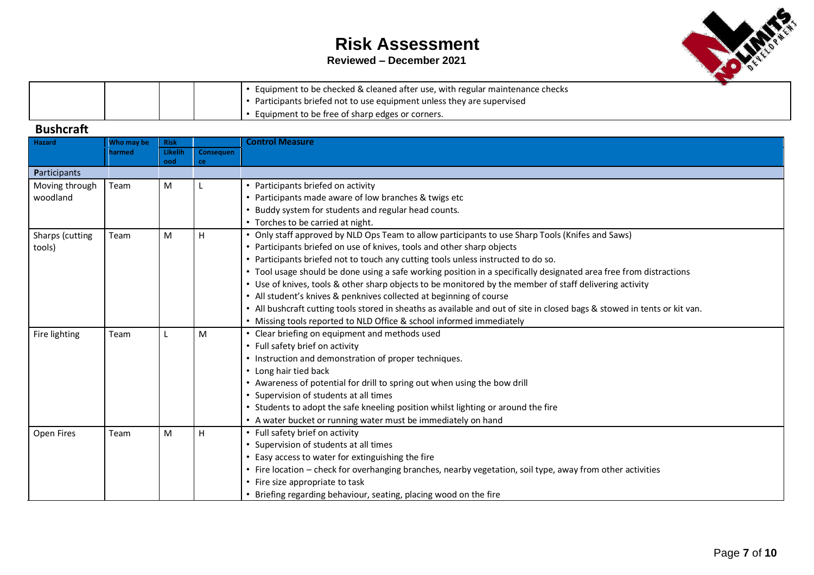### **Reviewed – December 2021**



|  |  | • Equipment to be checked & cleaned after use, with regular maintenance checks |
|--|--|--------------------------------------------------------------------------------|
|  |  | • Participants briefed not to use equipment unless they are supervised         |
|  |  | * Equipment to be free of sharp edges or corners.                              |

### **Bushcraft**

| Hazard          | Who may be | <b>Risk</b>    |           | <b>Control Measure</b>                                                                                                    |
|-----------------|------------|----------------|-----------|---------------------------------------------------------------------------------------------------------------------------|
|                 | harmed     | Likelih<br>ood | Consequen |                                                                                                                           |
| Participants    |            |                | ce        |                                                                                                                           |
| Moving through  | Team       | M              |           | Participants briefed on activity                                                                                          |
| woodland        |            |                |           | Participants made aware of low branches & twigs etc                                                                       |
|                 |            |                |           | Buddy system for students and regular head counts.                                                                        |
|                 |            |                |           | • Torches to be carried at night.                                                                                         |
| Sharps (cutting | Team       | M              | H         | Only staff approved by NLD Ops Team to allow participants to use Sharp Tools (Knifes and Saws)                            |
| tools)          |            |                |           | Participants briefed on use of knives, tools and other sharp objects                                                      |
|                 |            |                |           | Participants briefed not to touch any cutting tools unless instructed to do so.                                           |
|                 |            |                |           | Tool usage should be done using a safe working position in a specifically designated area free from distractions          |
|                 |            |                |           | • Use of knives, tools & other sharp objects to be monitored by the member of staff delivering activity                   |
|                 |            |                |           | • All student's knives & penknives collected at beginning of course                                                       |
|                 |            |                |           | • All bushcraft cutting tools stored in sheaths as available and out of site in closed bags & stowed in tents or kit van. |
|                 |            |                |           | • Missing tools reported to NLD Office & school informed immediately                                                      |
| Fire lighting   | Team       |                | M         | Clear briefing on equipment and methods used                                                                              |
|                 |            |                |           | • Full safety brief on activity                                                                                           |
|                 |            |                |           | • Instruction and demonstration of proper techniques.                                                                     |
|                 |            |                |           | • Long hair tied back                                                                                                     |
|                 |            |                |           | • Awareness of potential for drill to spring out when using the bow drill                                                 |
|                 |            |                |           | Supervision of students at all times                                                                                      |
|                 |            |                |           | Students to adopt the safe kneeling position whilst lighting or around the fire                                           |
|                 |            |                |           | • A water bucket or running water must be immediately on hand                                                             |
| Open Fires      | Team       | M              | H         | • Full safety brief on activity                                                                                           |
|                 |            |                |           | Supervision of students at all times                                                                                      |
|                 |            |                |           | Easy access to water for extinguishing the fire                                                                           |
|                 |            |                |           | • Fire location - check for overhanging branches, nearby vegetation, soil type, away from other activities                |
|                 |            |                |           | • Fire size appropriate to task                                                                                           |
|                 |            |                |           | Briefing regarding behaviour, seating, placing wood on the fire                                                           |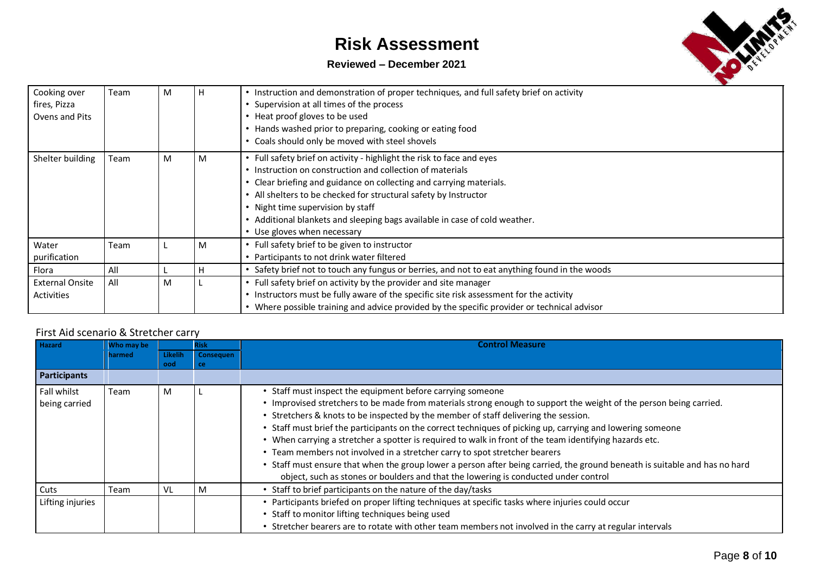### **Reviewed – December 2021**



| Cooking over<br>fires, Pizza<br>Ovens and Pits | Team | M | п | • Instruction and demonstration of proper techniques, and full safety brief on activity<br>Supervision at all times of the process<br>• Heat proof gloves to be used<br>• Hands washed prior to preparing, cooking or eating food<br>• Coals should only be moved with steel shovels                                                                                                                                            |
|------------------------------------------------|------|---|---|---------------------------------------------------------------------------------------------------------------------------------------------------------------------------------------------------------------------------------------------------------------------------------------------------------------------------------------------------------------------------------------------------------------------------------|
| Shelter building                               | Team | M | M | • Full safety brief on activity - highlight the risk to face and eyes<br>• Instruction on construction and collection of materials<br>• Clear briefing and guidance on collecting and carrying materials.<br>• All shelters to be checked for structural safety by Instructor<br>• Night time supervision by staff<br>• Additional blankets and sleeping bags available in case of cold weather.<br>• Use gloves when necessary |
| Water<br>purification                          | Team |   | M | • Full safety brief to be given to instructor<br>Participants to not drink water filtered                                                                                                                                                                                                                                                                                                                                       |
| Flora                                          | All  |   |   | • Safety brief not to touch any fungus or berries, and not to eat anything found in the woods                                                                                                                                                                                                                                                                                                                                   |
| <b>External Onsite</b><br>Activities           | All  | M |   | Full safety brief on activity by the provider and site manager<br>• Instructors must be fully aware of the specific site risk assessment for the activity<br>• Where possible training and advice provided by the specific provider or technical advisor                                                                                                                                                                        |

### First Aid scenario & Stretcher carry

| <b>Hazard</b>    | Who may be |         | <b>Risk</b>      | Control Measure                                                                                                            |
|------------------|------------|---------|------------------|----------------------------------------------------------------------------------------------------------------------------|
|                  | harmed     | Likelih | <b>Consequen</b> |                                                                                                                            |
|                  |            | ood     | ce               |                                                                                                                            |
| Participants     |            |         |                  |                                                                                                                            |
| Fall whilst      | Team       | M       |                  | • Staff must inspect the equipment before carrying someone                                                                 |
| being carried    |            |         |                  | • Improvised stretchers to be made from materials strong enough to support the weight of the person being carried.         |
|                  |            |         |                  | • Stretchers & knots to be inspected by the member of staff delivering the session.                                        |
|                  |            |         |                  | • Staff must brief the participants on the correct techniques of picking up, carrying and lowering someone                 |
|                  |            |         |                  | . When carrying a stretcher a spotter is required to walk in front of the team identifying hazards etc.                    |
|                  |            |         |                  | • Team members not involved in a stretcher carry to spot stretcher bearers                                                 |
|                  |            |         |                  | • Staff must ensure that when the group lower a person after being carried, the ground beneath is suitable and has no hard |
|                  |            |         |                  | object, such as stones or boulders and that the lowering is conducted under control                                        |
| Cuts             | Team       | VL      | M                | Staff to brief participants on the nature of the day/tasks                                                                 |
| Lifting injuries |            |         |                  | Participants briefed on proper lifting techniques at specific tasks where injuries could occur                             |
|                  |            |         |                  | • Staff to monitor lifting techniques being used                                                                           |
|                  |            |         |                  | Stretcher bearers are to rotate with other team members not involved in the carry at regular intervals                     |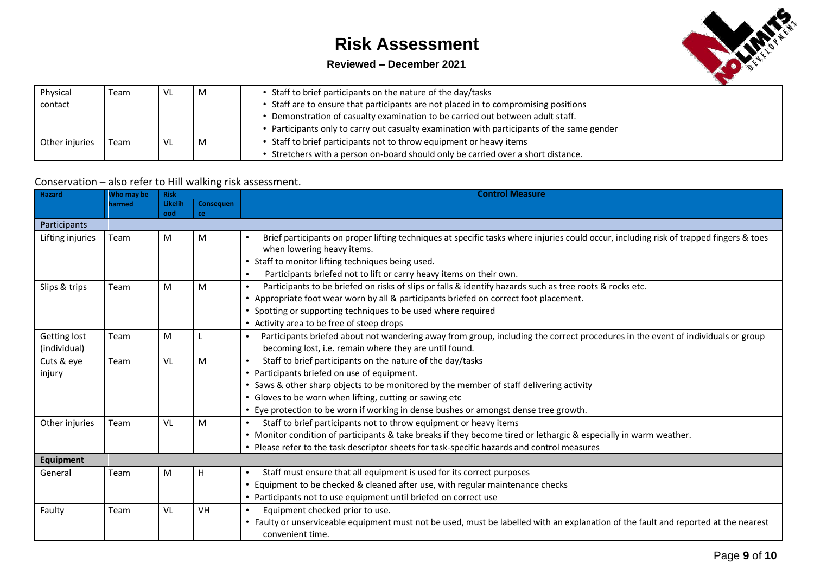### **Reviewed – December 2021**



| Physical       | Team | VL | M | • Staff to brief participants on the nature of the day/tasks                             |
|----------------|------|----|---|------------------------------------------------------------------------------------------|
| contact        |      |    |   | • Staff are to ensure that participants are not placed in to compromising positions      |
|                |      |    |   | • Demonstration of casualty examination to be carried out between adult staff.           |
|                |      |    |   | Participants only to carry out casualty examination with participants of the same gender |
| Other injuries | Team |    | M | • Staff to brief participants not to throw equipment or heavy items                      |
|                |      |    |   | Stretchers with a person on-board should only be carried over a short distance.          |

#### Conservation – also refer to Hill walking risk assessment.

| <b>Hazard</b>                       | Who may be | <b>Risk</b>           |                 | <b>Control Measure</b>                                                                                                                                                                                                                                                                                                                                             |
|-------------------------------------|------------|-----------------------|-----------------|--------------------------------------------------------------------------------------------------------------------------------------------------------------------------------------------------------------------------------------------------------------------------------------------------------------------------------------------------------------------|
|                                     | harmed     | <b>Likelih</b><br>ood | Consequen<br>ce |                                                                                                                                                                                                                                                                                                                                                                    |
| Participants                        |            |                       |                 |                                                                                                                                                                                                                                                                                                                                                                    |
| Lifting injuries                    | Team       | M                     | M               | Brief participants on proper lifting techniques at specific tasks where injuries could occur, including risk of trapped fingers & toes<br>when lowering heavy items.<br>Staff to monitor lifting techniques being used.<br>Participants briefed not to lift or carry heavy items on their own.<br>$\bullet$                                                        |
| Slips & trips                       | Team       | M                     | M               | Participants to be briefed on risks of slips or falls & identify hazards such as tree roots & rocks etc.<br>$\bullet$<br>• Appropriate foot wear worn by all & participants briefed on correct foot placement.<br>Spotting or supporting techniques to be used where required<br>• Activity area to be free of steep drops                                         |
| <b>Getting lost</b><br>(individual) | Team       | M                     |                 | Participants briefed about not wandering away from group, including the correct procedures in the event of individuals or group<br>becoming lost, i.e. remain where they are until found.                                                                                                                                                                          |
| Cuts & eye<br>injury                | Team       | VL                    | M               | Staff to brief participants on the nature of the day/tasks<br>$\bullet$<br>• Participants briefed on use of equipment.<br>Saws & other sharp objects to be monitored by the member of staff delivering activity<br>• Gloves to be worn when lifting, cutting or sawing etc<br>• Eye protection to be worn if working in dense bushes or amongst dense tree growth. |
| Other injuries                      | Team       | VL                    | M               | Staff to brief participants not to throw equipment or heavy items<br>$\bullet$<br>• Monitor condition of participants & take breaks if they become tired or lethargic & especially in warm weather.<br>• Please refer to the task descriptor sheets for task-specific hazards and control measures                                                                 |
| Equipment                           |            |                       |                 |                                                                                                                                                                                                                                                                                                                                                                    |
| General                             | Team       | M                     | H               | Staff must ensure that all equipment is used for its correct purposes<br>Equipment to be checked & cleaned after use, with regular maintenance checks<br>• Participants not to use equipment until briefed on correct use                                                                                                                                          |
| Faulty                              | Team       | VL                    | VH              | Equipment checked prior to use.<br>$\bullet$<br>• Faulty or unserviceable equipment must not be used, must be labelled with an explanation of the fault and reported at the nearest<br>convenient time.                                                                                                                                                            |